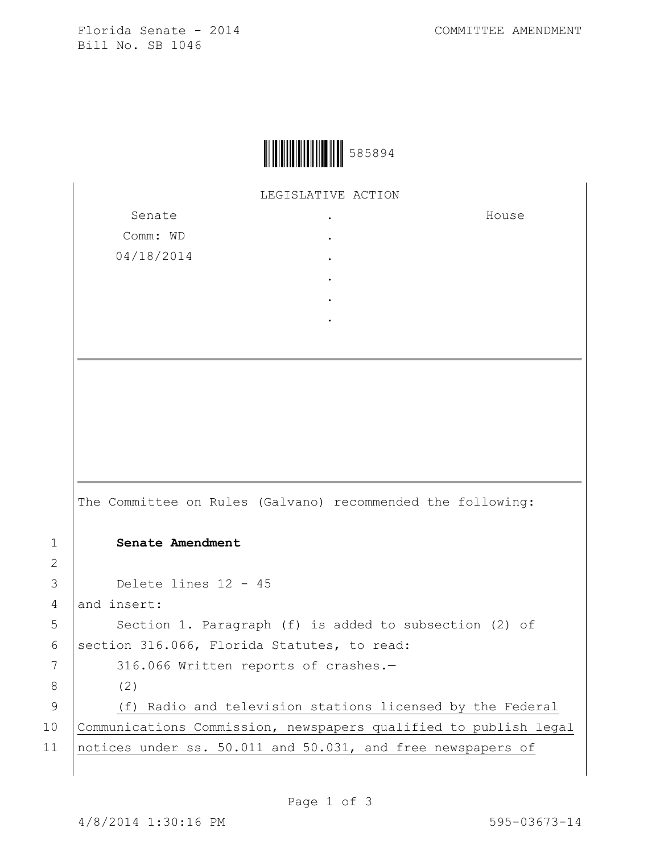Florida Senate - 2014 COMMITTEE AMENDMENT Bill No. SB 1046



LEGISLATIVE ACTION

| Senate     |  |
|------------|--|
| Comm: WD   |  |
| 04/18/2014 |  |
|            |  |
|            |  |
|            |  |

House

The Committee on Rules (Galvano) recommended the following: 1 **Senate Amendment**  3 Delete lines 12 - 45 4 and insert: 5 | Section 1. Paragraph (f) is added to subsection (2) of 6 | section 316.066, Florida Statutes, to read: 7 316.066 Written reports of crashes.-8 (2) 9 (f) Radio and television stations licensed by the Federal 10 Communications Commission, newspapers qualified to publish legal 11 | notices under ss. 50.011 and 50.031, and free newspapers of

2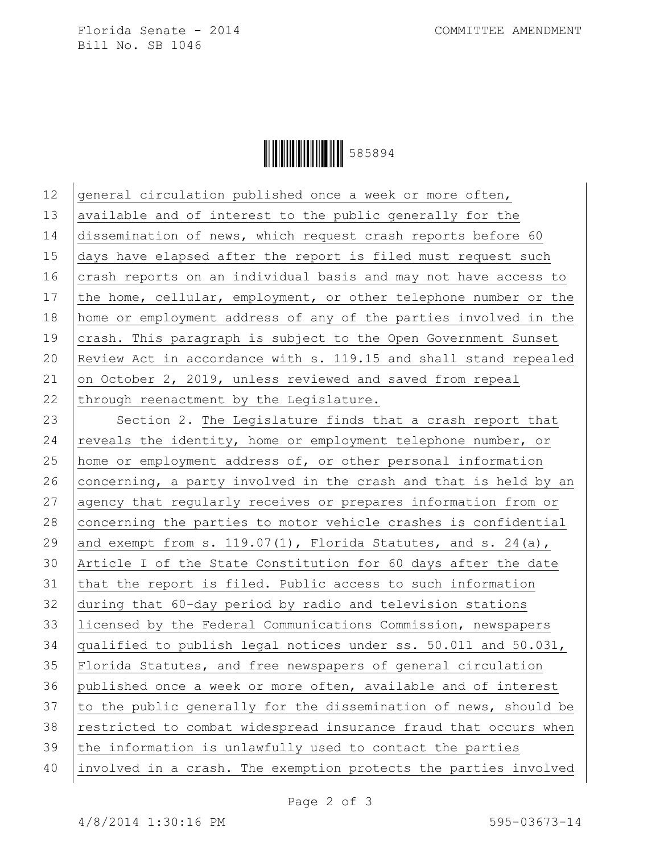Florida Senate - 2014 COMMITTEE AMENDMENT Bill No. SB 1046

Ì585894^Î585894

| 12 | general circulation published once a week or more often,         |  |
|----|------------------------------------------------------------------|--|
| 13 | available and of interest to the public generally for the        |  |
| 14 | dissemination of news, which request crash reports before 60     |  |
| 15 | days have elapsed after the report is filed must request such    |  |
| 16 | crash reports on an individual basis and may not have access to  |  |
| 17 | the home, cellular, employment, or other telephone number or the |  |
| 18 | home or employment address of any of the parties involved in the |  |
| 19 | crash. This paragraph is subject to the Open Government Sunset   |  |
| 20 | Review Act in accordance with s. 119.15 and shall stand repealed |  |
| 21 | on October 2, 2019, unless reviewed and saved from repeal        |  |
| 22 | through reenactment by the Legislature.                          |  |
| 23 | Section 2. The Legislature finds that a crash report that        |  |
| 24 | reveals the identity, home or employment telephone number, or    |  |
| 25 | home or employment address of, or other personal information     |  |
| 26 | concerning, a party involved in the crash and that is held by an |  |
| 27 | agency that regularly receives or prepares information from or   |  |
| 28 | concerning the parties to motor vehicle crashes is confidential  |  |
| 29 | and exempt from s. 119.07(1), Florida Statutes, and s. 24(a),    |  |
| 30 | Article I of the State Constitution for 60 days after the date   |  |
| 31 | that the report is filed. Public access to such information      |  |
| 32 | during that 60-day period by radio and television stations       |  |
| 33 | licensed by the Federal Communications Commission, newspapers    |  |
| 34 | qualified to publish legal notices under ss. 50.011 and 50.031,  |  |
| 35 | Florida Statutes, and free newspapers of general circulation     |  |
| 36 | published once a week or more often, available and of interest   |  |
| 37 | to the public generally for the dissemination of news, should be |  |
| 38 | restricted to combat widespread insurance fraud that occurs when |  |
| 39 | the information is unlawfully used to contact the parties        |  |
| 40 | involved in a crash. The exemption protects the parties involved |  |